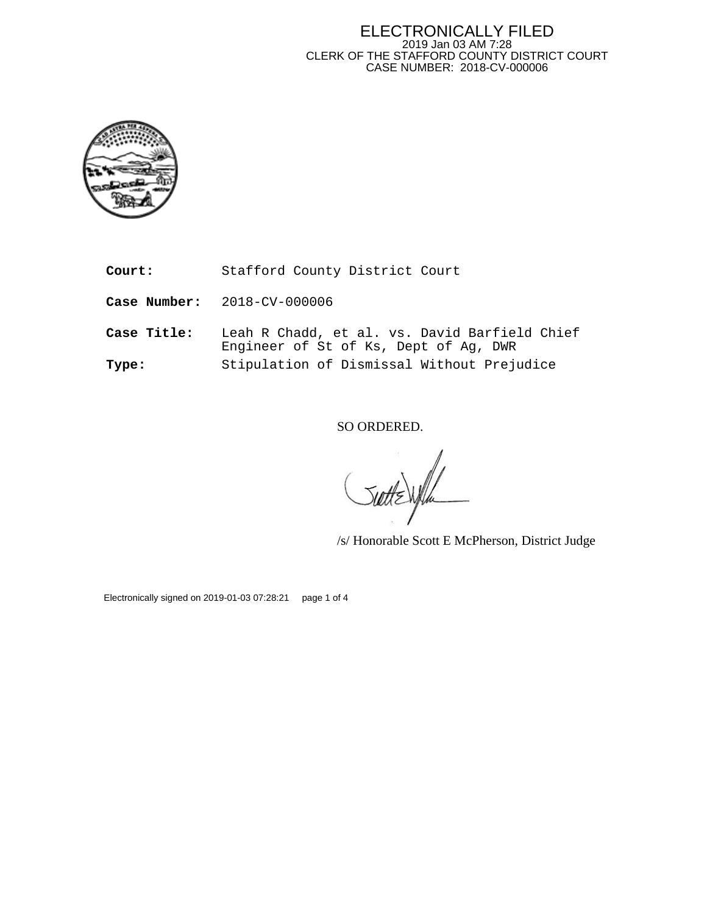## ELECTRONICALLY FILED 2019 Jan 03 AM 7:28 CLERK OF THE STAFFORD COUNTY DISTRICT COURT CASE NUMBER: 2018-CV-000006



**Court:** Stafford County District Court

**Case Number:** 2018-CV-000006

**Case Title:** Leah R Chadd, et al. vs. David Barfield Chief Engineer of St of Ks, Dept of Ag, DWR **Type:** Stipulation of Dismissal Without Prejudice

SO ORDERED.

/s/ Honorable Scott E McPherson, District Judge

Electronically signed on 2019-01-03 07:28:21 page 1 of 4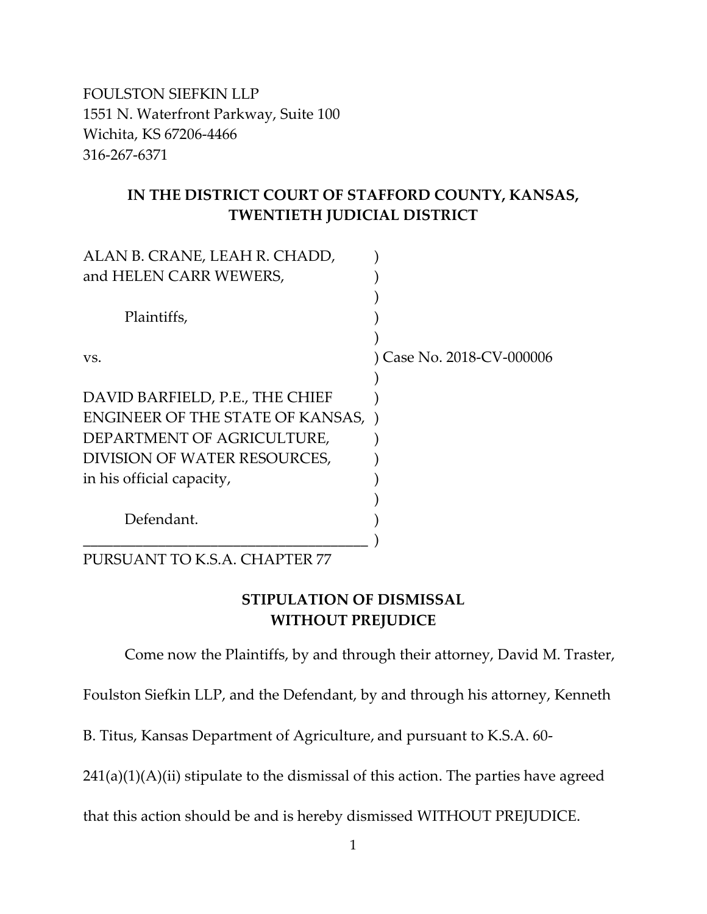FOULSTON SIEFKIN LLP 1551 N. Waterfront Parkway, Suite 100 Wichita, KS 67206-4466 316-267-6371

## **IN THE DISTRICT COURT OF STAFFORD COUNTY, KANSAS, TWENTIETH JUDICIAL DISTRICT**

| and HELEN CARR WEWERS,<br>Plaintiffs,<br>) Case No. 2018-CV-000006<br>VS.<br>DAVID BARFIELD, P.E., THE CHIEF<br><b>ENGINEER OF THE STATE OF KANSAS, )</b><br>DEPARTMENT OF AGRICULTURE,<br>DIVISION OF WATER RESOURCES, |
|-------------------------------------------------------------------------------------------------------------------------------------------------------------------------------------------------------------------------|
|                                                                                                                                                                                                                         |
|                                                                                                                                                                                                                         |
|                                                                                                                                                                                                                         |
|                                                                                                                                                                                                                         |
|                                                                                                                                                                                                                         |
|                                                                                                                                                                                                                         |
|                                                                                                                                                                                                                         |
|                                                                                                                                                                                                                         |
|                                                                                                                                                                                                                         |
|                                                                                                                                                                                                                         |
| in his official capacity,                                                                                                                                                                                               |
|                                                                                                                                                                                                                         |
| Defendant.                                                                                                                                                                                                              |
|                                                                                                                                                                                                                         |

PURSUANT TO K.S.A. CHAPTER 77

## **STIPULATION OF DISMISSAL WITHOUT PREJUDICE**

Come now the Plaintiffs, by and through their attorney, David M. Traster,

Foulston Siefkin LLP, and the Defendant, by and through his attorney, Kenneth

B. Titus, Kansas Department of Agriculture, and pursuant to K.S.A. 60-

 $241(a)(1)(A)(ii)$  stipulate to the dismissal of this action. The parties have agreed

that this action should be and is hereby dismissed WITHOUT PREJUDICE.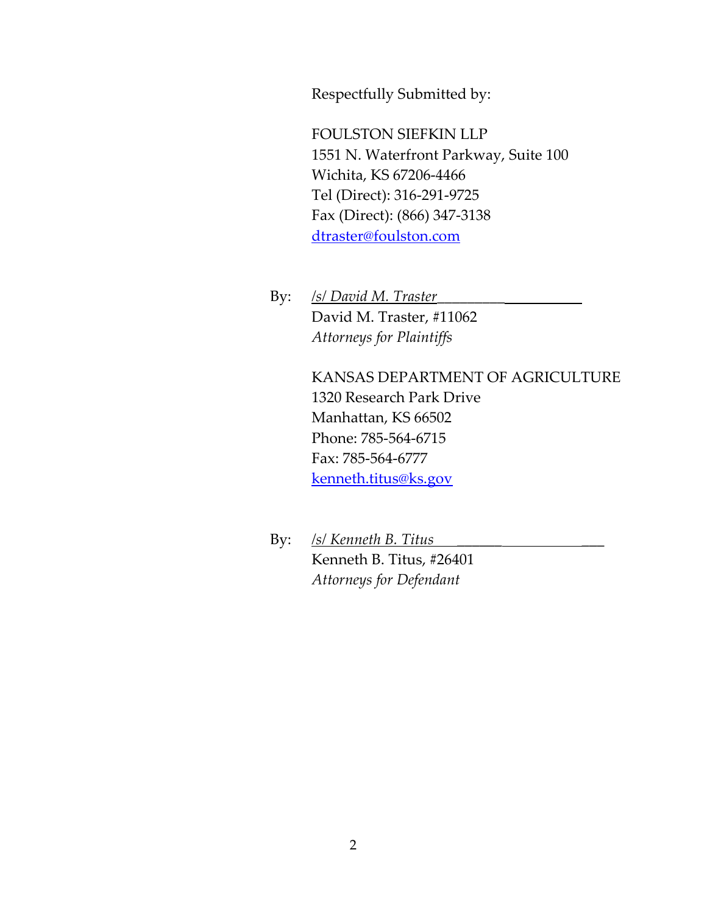Respectfully Submitted by:

FOULSTON SIEFKIN LLP 1551 N. Waterfront Parkway, Suite 100 Wichita, KS 67206-4466 Tel (Direct): 316-291-9725 Fax (Direct): (866) 347-3138 [dtraster@foulston.com](mailto:dtraster@foulston.com)

By: */s/ David M. Traster*\_\_\_\_\_\_\_\_\_ David M. Traster, #11062 *Attorneys for Plaintiffs*

> KANSAS DEPARTMENT OF AGRICULTURE 1320 Research Park Drive Manhattan, KS 66502 Phone: 785-564-6715 Fax: 785-564-6777 [kenneth.titus@ks.gov](mailto:kenneth.titus@ks.gov)

By: */s/ Kenneth B. Titus* \_\_\_\_\_\_ \_\_\_ Kenneth B. Titus, #26401 *Attorneys for Defendant*